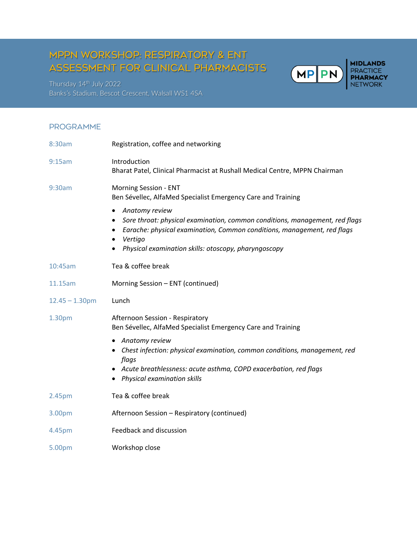# MPPN workshop: respiratory & ENT assessment for clinical pharmacists

Thursday 14<sup>th</sup> July 2022 Banks's Stadium, Bescot Crescent, Walsall WS1 4SA

### **PROGRAMME**

| 8:30am            | Registration, coffee and networking                                                                                                                                                                                                                           |
|-------------------|---------------------------------------------------------------------------------------------------------------------------------------------------------------------------------------------------------------------------------------------------------------|
| 9:15am            | Introduction<br>Bharat Patel, Clinical Pharmacist at Rushall Medical Centre, MPPN Chairman                                                                                                                                                                    |
| 9:30am            | Morning Session - ENT<br>Ben Sévellec, AlfaMed Specialist Emergency Care and Training                                                                                                                                                                         |
|                   | Anatomy review<br>Sore throat: physical examination, common conditions, management, red flags<br>Earache: physical examination, Common conditions, management, red flags<br>٠<br>Vertigo<br>$\bullet$<br>Physical examination skills: otoscopy, pharyngoscopy |
| 10:45am           | Tea & coffee break                                                                                                                                                                                                                                            |
| 11.15am           | Morning Session - ENT (continued)                                                                                                                                                                                                                             |
| $12.45 - 1.30$ pm | Lunch                                                                                                                                                                                                                                                         |
| 1.30pm            | Afternoon Session - Respiratory<br>Ben Sévellec, AlfaMed Specialist Emergency Care and Training                                                                                                                                                               |
|                   | • Anatomy review<br>• Chest infection: physical examination, common conditions, management, red<br>flags<br>Acute breathlessness: acute asthma, COPD exacerbation, red flags<br>Physical examination skills                                                   |
| 2.45pm            | Tea & coffee break                                                                                                                                                                                                                                            |
| 3.00pm            | Afternoon Session - Respiratory (continued)                                                                                                                                                                                                                   |
| 4.45pm            | Feedback and discussion                                                                                                                                                                                                                                       |
| 5.00pm            | Workshop close                                                                                                                                                                                                                                                |

**MIDLANDS<br>PRACTICE<br>PHARMACY<br>NETWORK** 

**MP PN**